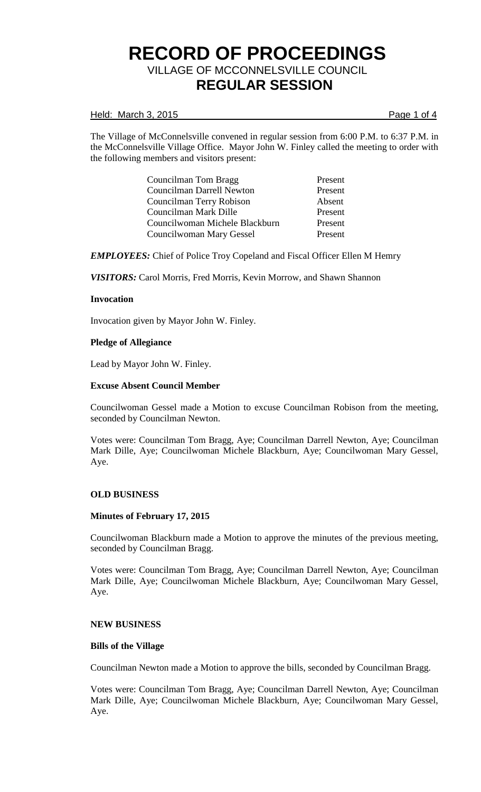#### Held: March 3, 2015 **Page 1 of 4**

The Village of McConnelsville convened in regular session from 6:00 P.M. to 6:37 P.M. in the McConnelsville Village Office. Mayor John W. Finley called the meeting to order with the following members and visitors present:

> Councilman Tom Bragg Present Councilman Darrell Newton Present Councilman Terry Robison Absent Councilman Mark Dille Present Councilwoman Michele Blackburn Present Councilwoman Mary Gessel Present

*EMPLOYEES:* Chief of Police Troy Copeland and Fiscal Officer Ellen M Hemry

*VISITORS:* Carol Morris, Fred Morris, Kevin Morrow, and Shawn Shannon

## **Invocation**

Invocation given by Mayor John W. Finley.

## **Pledge of Allegiance**

Lead by Mayor John W. Finley.

#### **Excuse Absent Council Member**

Councilwoman Gessel made a Motion to excuse Councilman Robison from the meeting, seconded by Councilman Newton.

Votes were: Councilman Tom Bragg, Aye; Councilman Darrell Newton, Aye; Councilman Mark Dille, Aye; Councilwoman Michele Blackburn, Aye; Councilwoman Mary Gessel, Aye.

#### **OLD BUSINESS**

#### **Minutes of February 17, 2015**

Councilwoman Blackburn made a Motion to approve the minutes of the previous meeting, seconded by Councilman Bragg.

Votes were: Councilman Tom Bragg, Aye; Councilman Darrell Newton, Aye; Councilman Mark Dille, Aye; Councilwoman Michele Blackburn, Aye; Councilwoman Mary Gessel, Aye.

#### **NEW BUSINESS**

#### **Bills of the Village**

Councilman Newton made a Motion to approve the bills, seconded by Councilman Bragg.

Votes were: Councilman Tom Bragg, Aye; Councilman Darrell Newton, Aye; Councilman Mark Dille, Aye; Councilwoman Michele Blackburn, Aye; Councilwoman Mary Gessel, Aye.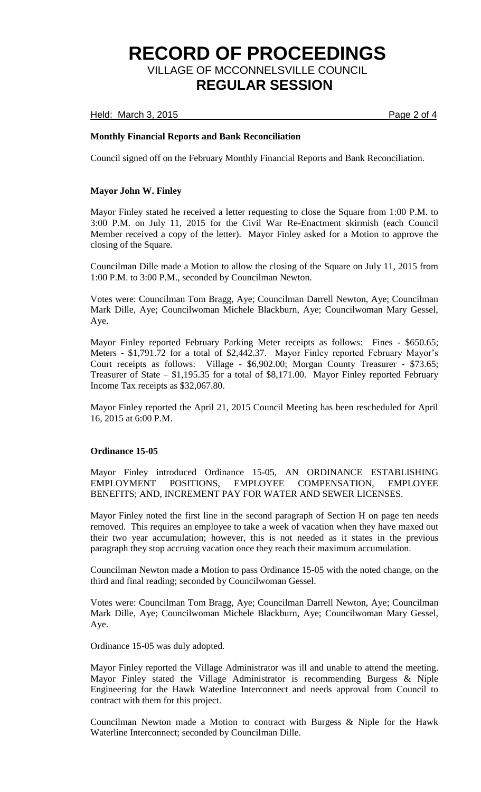Held: March 3, 2015 **Page 2 of 4** 

## **Monthly Financial Reports and Bank Reconciliation**

Council signed off on the February Monthly Financial Reports and Bank Reconciliation.

#### **Mayor John W. Finley**

Mayor Finley stated he received a letter requesting to close the Square from 1:00 P.M. to 3:00 P.M. on July 11, 2015 for the Civil War Re-Enactment skirmish (each Council Member received a copy of the letter). Mayor Finley asked for a Motion to approve the closing of the Square.

Councilman Dille made a Motion to allow the closing of the Square on July 11, 2015 from 1:00 P.M. to 3:00 P.M., seconded by Councilman Newton.

Votes were: Councilman Tom Bragg, Aye; Councilman Darrell Newton, Aye; Councilman Mark Dille, Aye; Councilwoman Michele Blackburn, Aye; Councilwoman Mary Gessel, Aye.

Mayor Finley reported February Parking Meter receipts as follows: Fines - \$650.65; Meters - \$1,791.72 for a total of \$2,442.37. Mayor Finley reported February Mayor's Court receipts as follows: Village - \$6,902.00; Morgan County Treasurer - \$73.65; Treasurer of State – \$1,195.35 for a total of \$8,171.00. Mayor Finley reported February Income Tax receipts as \$32,067.80.

Mayor Finley reported the April 21, 2015 Council Meeting has been rescheduled for April 16, 2015 at 6:00 P.M.

#### **Ordinance 15-05**

Mayor Finley introduced Ordinance 15-05, AN ORDINANCE ESTABLISHING EMPLOYMENT POSITIONS, EMPLOYEE COMPENSATION, EMPLOYEE BENEFITS; AND, INCREMENT PAY FOR WATER AND SEWER LICENSES.

Mayor Finley noted the first line in the second paragraph of Section H on page ten needs removed. This requires an employee to take a week of vacation when they have maxed out their two year accumulation; however, this is not needed as it states in the previous paragraph they stop accruing vacation once they reach their maximum accumulation.

Councilman Newton made a Motion to pass Ordinance 15-05 with the noted change, on the third and final reading; seconded by Councilwoman Gessel.

Votes were: Councilman Tom Bragg, Aye; Councilman Darrell Newton, Aye; Councilman Mark Dille, Aye; Councilwoman Michele Blackburn, Aye; Councilwoman Mary Gessel, Aye.

Ordinance 15-05 was duly adopted.

Mayor Finley reported the Village Administrator was ill and unable to attend the meeting. Mayor Finley stated the Village Administrator is recommending Burgess & Niple Engineering for the Hawk Waterline Interconnect and needs approval from Council to contract with them for this project.

Councilman Newton made a Motion to contract with Burgess & Niple for the Hawk Waterline Interconnect; seconded by Councilman Dille.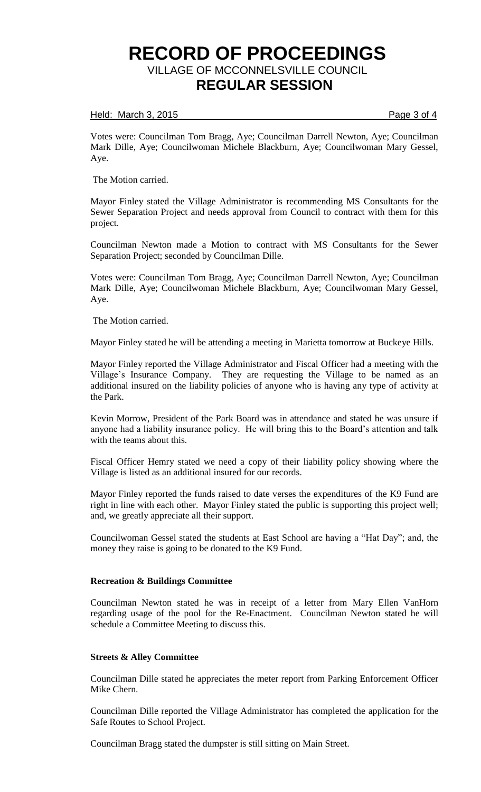## Held: March 3, 2015 **Page 3 of 4**

Votes were: Councilman Tom Bragg, Aye; Councilman Darrell Newton, Aye; Councilman Mark Dille, Aye; Councilwoman Michele Blackburn, Aye; Councilwoman Mary Gessel, Aye.

The Motion carried.

Mayor Finley stated the Village Administrator is recommending MS Consultants for the Sewer Separation Project and needs approval from Council to contract with them for this project.

Councilman Newton made a Motion to contract with MS Consultants for the Sewer Separation Project; seconded by Councilman Dille.

Votes were: Councilman Tom Bragg, Aye; Councilman Darrell Newton, Aye; Councilman Mark Dille, Aye; Councilwoman Michele Blackburn, Aye; Councilwoman Mary Gessel, Aye.

The Motion carried.

Mayor Finley stated he will be attending a meeting in Marietta tomorrow at Buckeye Hills.

Mayor Finley reported the Village Administrator and Fiscal Officer had a meeting with the Village's Insurance Company. They are requesting the Village to be named as an additional insured on the liability policies of anyone who is having any type of activity at the Park.

Kevin Morrow, President of the Park Board was in attendance and stated he was unsure if anyone had a liability insurance policy. He will bring this to the Board's attention and talk with the teams about this.

Fiscal Officer Hemry stated we need a copy of their liability policy showing where the Village is listed as an additional insured for our records.

Mayor Finley reported the funds raised to date verses the expenditures of the K9 Fund are right in line with each other. Mayor Finley stated the public is supporting this project well; and, we greatly appreciate all their support.

Councilwoman Gessel stated the students at East School are having a "Hat Day"; and, the money they raise is going to be donated to the K9 Fund.

# **Recreation & Buildings Committee**

Councilman Newton stated he was in receipt of a letter from Mary Ellen VanHorn regarding usage of the pool for the Re-Enactment. Councilman Newton stated he will schedule a Committee Meeting to discuss this.

# **Streets & Alley Committee**

Councilman Dille stated he appreciates the meter report from Parking Enforcement Officer Mike Chern.

Councilman Dille reported the Village Administrator has completed the application for the Safe Routes to School Project.

Councilman Bragg stated the dumpster is still sitting on Main Street.